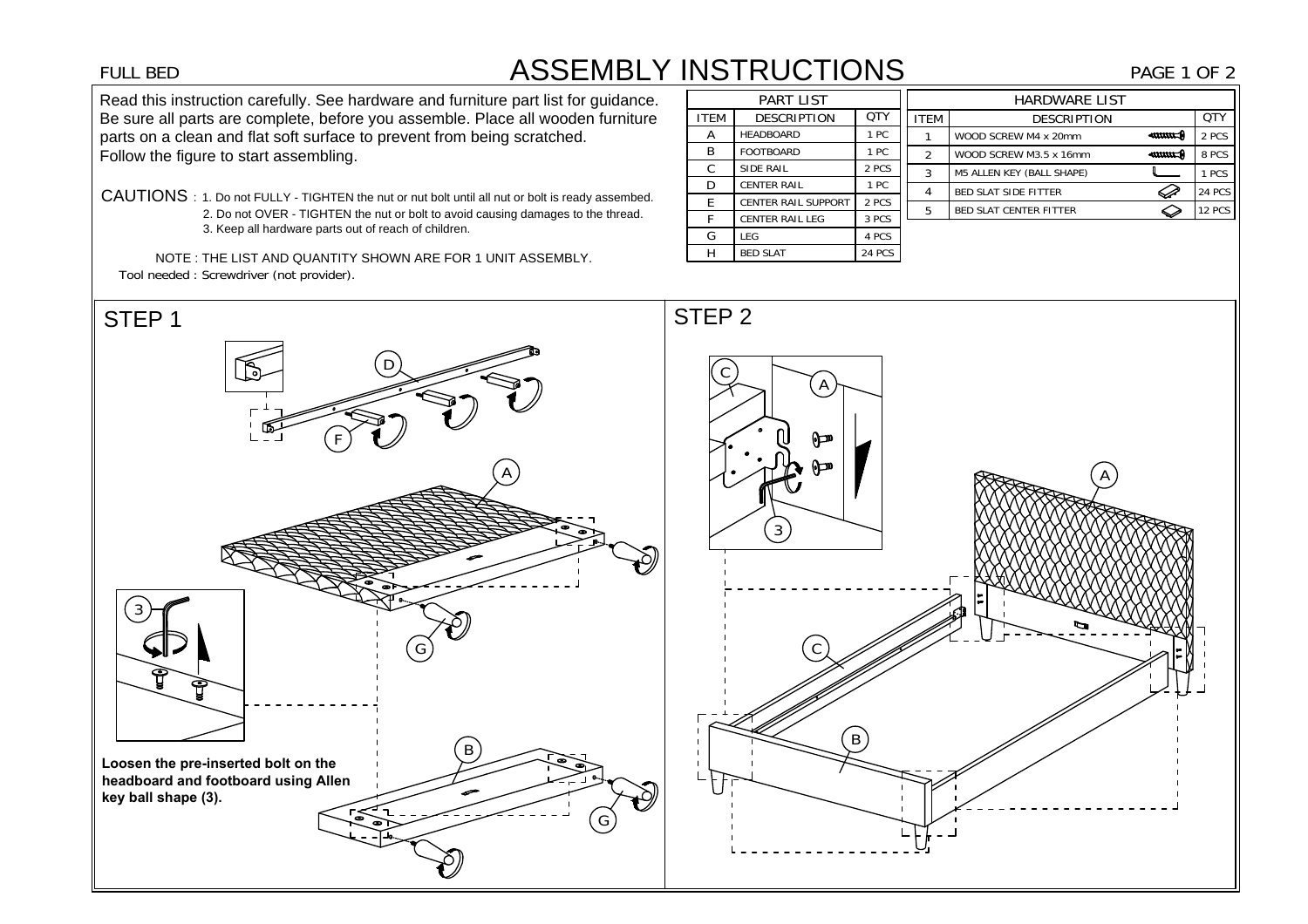## **RUCT**<br>PART LIST

PAGE 1 OF 2

FULL BED<br>
Read this instruction carefully. See hardware and furniture part list for guidance.<br>
Be sure all parts are complete, before you assemble. Place all wooden furniture<br>
parts on a clean and flat soft surface to pre

| <b>ASSEMBLY INSTRUCTIONS</b><br>FULL BED<br>PAGE 1 OF 2<br>Read this instruction carefully. See hardware and furniture part list for guidance.<br><b>PART LIST</b><br><b>HARDWARE LIST</b><br>QTY<br>Be sure all parts are complete, before you assemble. Place all wooden furniture<br><b>ITEM</b><br><b>DESCRIPTION</b><br><b>ITEM</b><br><b>DESCRIPTION</b><br>1 PC<br><b>HEADBOARD</b><br>parts on a clean and flat soft surface to prevent from being scratched.<br>$-$<br>WOOD SCREW M4 x 20mm<br>A<br><b>FOOTBOARD</b><br>1 PC<br>Follow the figure to start assembling.<br>WOOD SCREW M3.5 x 16mm<br><b>COLORADO DE</b><br>$\sim$<br>2 PCS<br><b>SIDE RAIL</b><br>M5 ALLEN KEY (BALL SHAPE)<br>D<br><b>CENTER RAIL</b><br>1 PC<br>⇙<br><b>BED SLAT SIDE FITTER</b><br>CAUTIONS : 1. Do not FULLY - TIGHTEN the nut or nut bolt until all nut or bolt is ready assembed.<br>2 PCS<br><b>CENTER RAIL SUPPORT</b><br>$\bm \Leftrightarrow$<br>12 PCS<br><b>BED SLAT CENTER FITTER</b><br>2. Do not OVER - TIGHTEN the nut or bolt to avoid causing damages to the thread.<br>3 PCS<br><b>CENTER RAIL LEG</b><br>3. Keep all hardware parts out of reach of children.<br>G<br>4 PCS<br>LEG.<br>H<br>24 PCS<br><b>BED SLAT</b><br>NOTE: THE LIST AND QUANTITY SHOWN ARE FOR 1 UNIT ASSEMBLY. |  |  |  |  |  |  |  |  |               |
|-------------------------------------------------------------------------------------------------------------------------------------------------------------------------------------------------------------------------------------------------------------------------------------------------------------------------------------------------------------------------------------------------------------------------------------------------------------------------------------------------------------------------------------------------------------------------------------------------------------------------------------------------------------------------------------------------------------------------------------------------------------------------------------------------------------------------------------------------------------------------------------------------------------------------------------------------------------------------------------------------------------------------------------------------------------------------------------------------------------------------------------------------------------------------------------------------------------------------------------------------------------------------------------------------|--|--|--|--|--|--|--|--|---------------|
|                                                                                                                                                                                                                                                                                                                                                                                                                                                                                                                                                                                                                                                                                                                                                                                                                                                                                                                                                                                                                                                                                                                                                                                                                                                                                                 |  |  |  |  |  |  |  |  |               |
|                                                                                                                                                                                                                                                                                                                                                                                                                                                                                                                                                                                                                                                                                                                                                                                                                                                                                                                                                                                                                                                                                                                                                                                                                                                                                                 |  |  |  |  |  |  |  |  |               |
|                                                                                                                                                                                                                                                                                                                                                                                                                                                                                                                                                                                                                                                                                                                                                                                                                                                                                                                                                                                                                                                                                                                                                                                                                                                                                                 |  |  |  |  |  |  |  |  | QTY           |
|                                                                                                                                                                                                                                                                                                                                                                                                                                                                                                                                                                                                                                                                                                                                                                                                                                                                                                                                                                                                                                                                                                                                                                                                                                                                                                 |  |  |  |  |  |  |  |  | 2 PCS         |
|                                                                                                                                                                                                                                                                                                                                                                                                                                                                                                                                                                                                                                                                                                                                                                                                                                                                                                                                                                                                                                                                                                                                                                                                                                                                                                 |  |  |  |  |  |  |  |  | 8 PCS         |
|                                                                                                                                                                                                                                                                                                                                                                                                                                                                                                                                                                                                                                                                                                                                                                                                                                                                                                                                                                                                                                                                                                                                                                                                                                                                                                 |  |  |  |  |  |  |  |  | 1 PCS         |
|                                                                                                                                                                                                                                                                                                                                                                                                                                                                                                                                                                                                                                                                                                                                                                                                                                                                                                                                                                                                                                                                                                                                                                                                                                                                                                 |  |  |  |  |  |  |  |  | <b>24 PCS</b> |
|                                                                                                                                                                                                                                                                                                                                                                                                                                                                                                                                                                                                                                                                                                                                                                                                                                                                                                                                                                                                                                                                                                                                                                                                                                                                                                 |  |  |  |  |  |  |  |  |               |
|                                                                                                                                                                                                                                                                                                                                                                                                                                                                                                                                                                                                                                                                                                                                                                                                                                                                                                                                                                                                                                                                                                                                                                                                                                                                                                 |  |  |  |  |  |  |  |  |               |
|                                                                                                                                                                                                                                                                                                                                                                                                                                                                                                                                                                                                                                                                                                                                                                                                                                                                                                                                                                                                                                                                                                                                                                                                                                                                                                 |  |  |  |  |  |  |  |  |               |
|                                                                                                                                                                                                                                                                                                                                                                                                                                                                                                                                                                                                                                                                                                                                                                                                                                                                                                                                                                                                                                                                                                                                                                                                                                                                                                 |  |  |  |  |  |  |  |  |               |